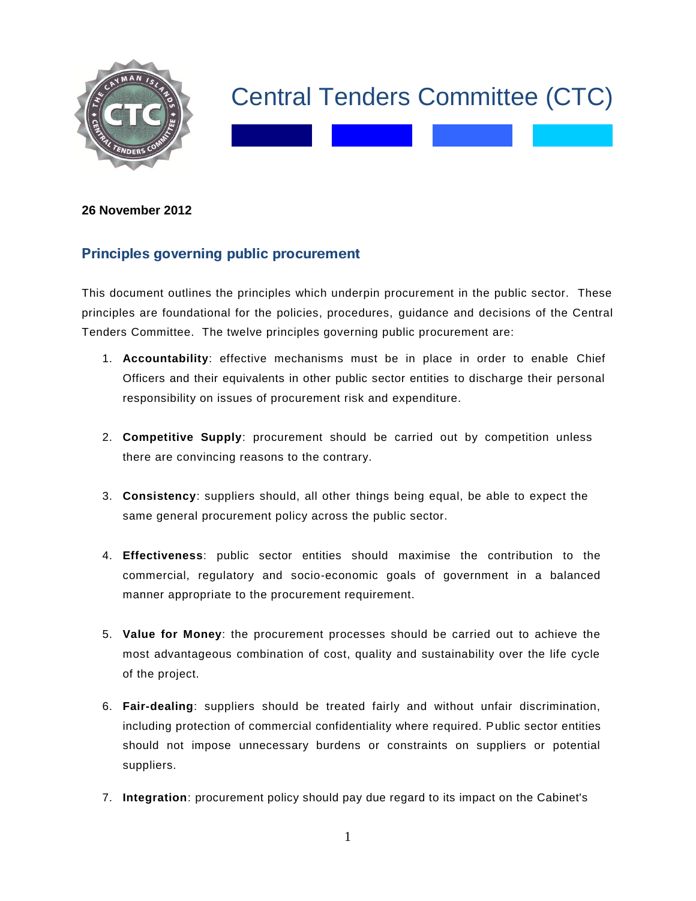

## Central Tenders Committee (CTC)

## **26 November 2012**

## **Principles governing public procurement**

This document outlines the principles which underpin procurement in the public sector. These principles are foundational for the policies, procedures, guidance and decisions of the Central Tenders Committee. The twelve principles governing public procurement are:

- 1. **Accountability**: effective mechanisms must be in place in order to enable Chief Officers and their equivalents in other public sector entities to discharge their personal responsibility on issues of procurement risk and expenditure.
- 2. **Competitive Supply**: procurement should be carried out by competition unless there are convincing reasons to the contrary.
- 3. **Consistency**: suppliers should, all other things being equal, be able to expect the same general procurement policy across the public sector.
- 4. **Effectiveness**: public sector entities should maximise the contribution to the commercial, regulatory and socio-economic goals of government in a balanced manner appropriate to the procurement requirement.
- 5. **Value for Money**: the procurement processes should be carried out to achieve the most advantageous combination of cost, quality and sustainability over the life cycle of the project.
- 6. **Fair-dealing**: suppliers should be treated fairly and without unfair discrimination, including protection of commercial confidentiality where required. Public sector entities should not impose unnecessary burdens or constraints on suppliers or potential suppliers.
- 7. **Integration**: procurement policy should pay due regard to its impact on the Cabinet's